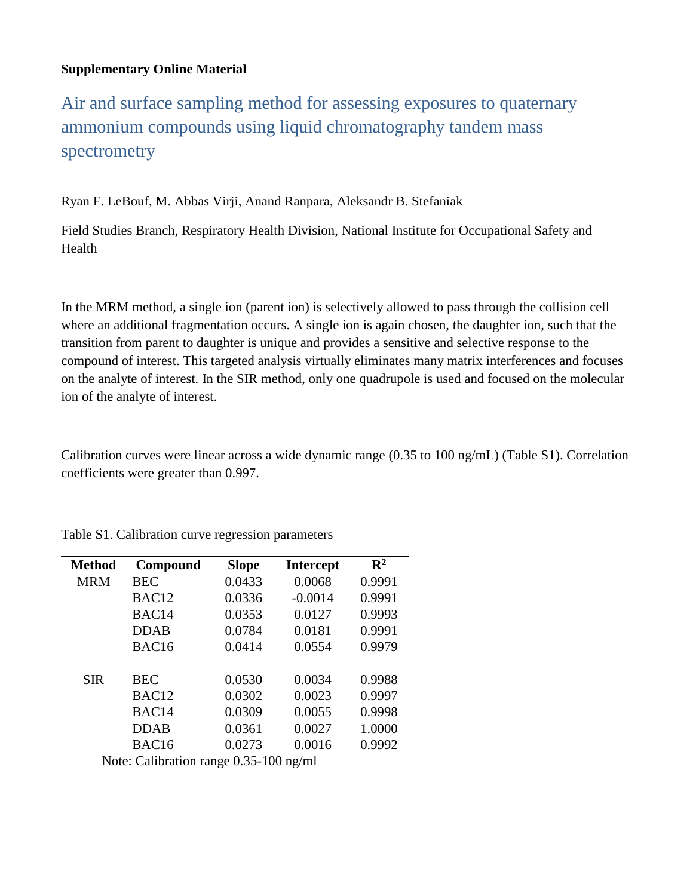## **Supplementary Online Material**

Air and surface sampling method for assessing exposures to quaternary ammonium compounds using liquid chromatography tandem mass spectrometry

Ryan F. LeBouf, M. Abbas Virji, Anand Ranpara, Aleksandr B. Stefaniak

Field Studies Branch, Respiratory Health Division, National Institute for Occupational Safety and Health

In the MRM method, a single ion (parent ion) is selectively allowed to pass through the collision cell where an additional fragmentation occurs. A single ion is again chosen, the daughter ion, such that the transition from parent to daughter is unique and provides a sensitive and selective response to the compound of interest. This targeted analysis virtually eliminates many matrix interferences and focuses on the analyte of interest. In the SIR method, only one quadrupole is used and focused on the molecular ion of the analyte of interest.

Calibration curves were linear across a wide dynamic range (0.35 to 100 ng/mL) (Table S1). Correlation coefficients were greater than 0.997.

| <b>Method</b> | Compound          | <b>Slope</b> | <b>Intercept</b> | $\mathbf{R}^2$ |
|---------------|-------------------|--------------|------------------|----------------|
| <b>MRM</b>    | <b>BEC</b>        | 0.0433       | 0.0068           | 0.9991         |
|               | BAC <sub>12</sub> | 0.0336       | $-0.0014$        | 0.9991         |
|               | BAC14             | 0.0353       | 0.0127           | 0.9993         |
|               | <b>DDAB</b>       | 0.0784       | 0.0181           | 0.9991         |
|               | BAC <sub>16</sub> | 0.0414       | 0.0554           | 0.9979         |
|               |                   |              |                  |                |
| <b>SIR</b>    | <b>BEC</b>        | 0.0530       | 0.0034           | 0.9988         |
|               | BAC <sub>12</sub> | 0.0302       | 0.0023           | 0.9997         |
|               | BAC14             | 0.0309       | 0.0055           | 0.9998         |
|               | <b>DDAB</b>       | 0.0361       | 0.0027           | 1.0000         |
|               | BAC16             | 0.0273       | 0.0016           | 0.9992         |

Table S1. Calibration curve regression parameters

Note: Calibration range 0.35-100 ng/ml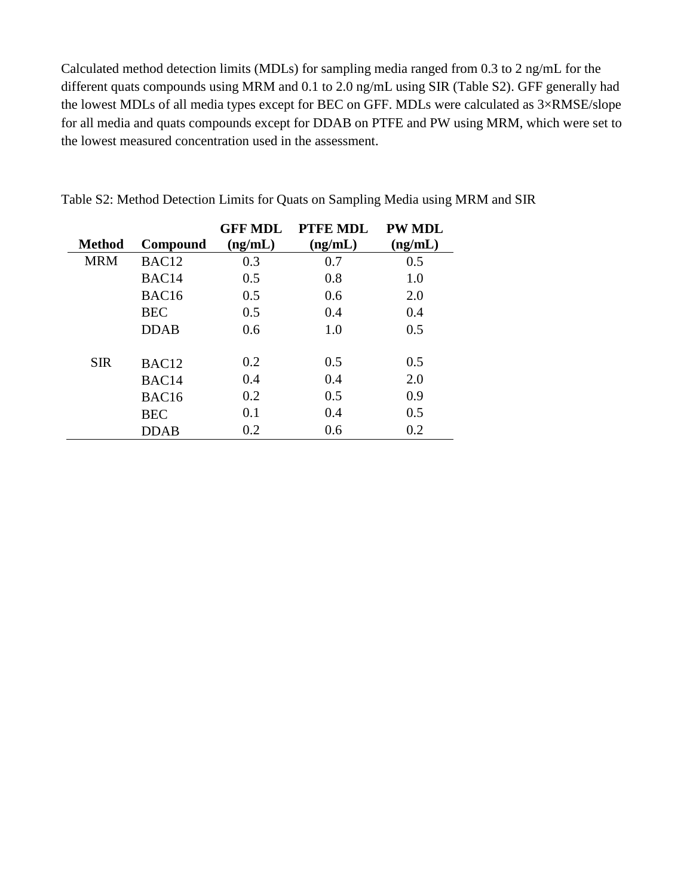Calculated method detection limits (MDLs) for sampling media ranged from 0.3 to 2 ng/mL for the different quats compounds using MRM and 0.1 to 2.0 ng/mL using SIR (Table S2). GFF generally had the lowest MDLs of all media types except for BEC on GFF. MDLs were calculated as 3×RMSE/slope for all media and quats compounds except for DDAB on PTFE and PW using MRM, which were set to the lowest measured concentration used in the assessment.

|               |                   | <b>GFF MDL</b> | PTFE MDL | <b>PW MDL</b> |
|---------------|-------------------|----------------|----------|---------------|
| <b>Method</b> | Compound          | (ng/mL)        | (ng/mL)  | (ng/mL)       |
| <b>MRM</b>    | BAC <sub>12</sub> | 0.3            | 0.7      | 0.5           |
|               | BAC <sub>14</sub> | 0.5            | 0.8      | 1.0           |
|               | BAC <sub>16</sub> | 0.5            | 0.6      | 2.0           |
|               | <b>BEC</b>        | 0.5            | 0.4      | 0.4           |
|               | <b>DDAB</b>       | 0.6            | 1.0      | 0.5           |
| <b>SIR</b>    | BAC <sub>12</sub> | 0.2            | 0.5      | 0.5           |
|               | BAC <sub>14</sub> | 0.4            | 0.4      | 2.0           |
|               | BAC16             | 0.2            | 0.5      | 0.9           |
|               | <b>BEC</b>        | 0.1            | 0.4      | 0.5           |
|               | <b>DDAB</b>       | 0.2            | 0.6      | 0.2           |

Table S2: Method Detection Limits for Quats on Sampling Media using MRM and SIR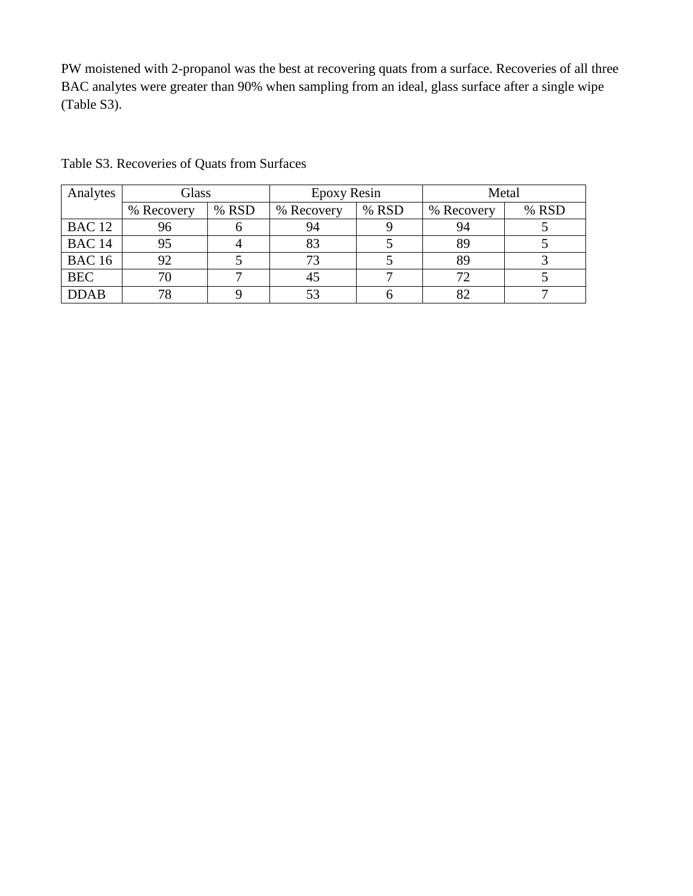PW moistened with 2-propanol was the best at recovering quats from a surface. Recoveries of all three BAC analytes were greater than 90% when sampling from an ideal, glass surface after a single wipe (Table S3).

| Analytes      | Glass      |       | Epoxy Resin |       | Metal        |       |
|---------------|------------|-------|-------------|-------|--------------|-------|
|               | % Recovery | % RSD | % Recovery  | % RSD | % Recovery   | % RSD |
| <b>BAC 12</b> | 96         |       | 94          |       | 94           |       |
| <b>BAC 14</b> | 95         |       | 83          |       | 89           |       |
| <b>BAC 16</b> | 92         |       |             |       | 89           |       |
| <b>BEC</b>    |            |       | 45          |       | $72^{\circ}$ |       |
| <b>DDAB</b>   | 78         |       |             |       |              |       |

Table S3. Recoveries of Quats from Surfaces